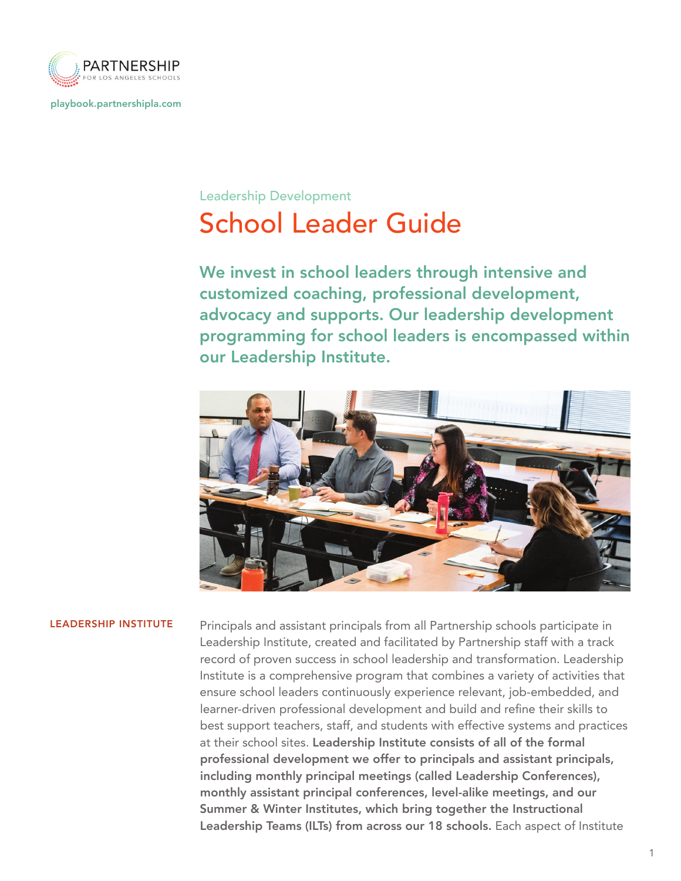

playbook.partnershipla.com

# School Leader Guide Leadership Development

We invest in school leaders through intensive and customized coaching, professional development, advocacy and supports. Our leadership development programming for school leaders is encompassed within our Leadership Institute.



LEADERSHIP INSTITUTE Principals and assistant principals from all Partnership schools participate in Leadership Institute, created and facilitated by Partnership staff with a track record of proven success in school leadership and transformation. Leadership Institute is a comprehensive program that combines a variety of activities that ensure school leaders continuously experience relevant, job-embedded, and learner-driven professional development and build and refine their skills to best support teachers, staff, and students with effective systems and practices at their school sites. Leadership Institute consists of all of the formal professional development we offer to principals and assistant principals, including monthly principal meetings (called Leadership Conferences), monthly assistant principal conferences, level-alike meetings, and our Summer & Winter Institutes, which bring together the Instructional Leadership Teams (ILTs) from across our 18 schools. Each aspect of Institute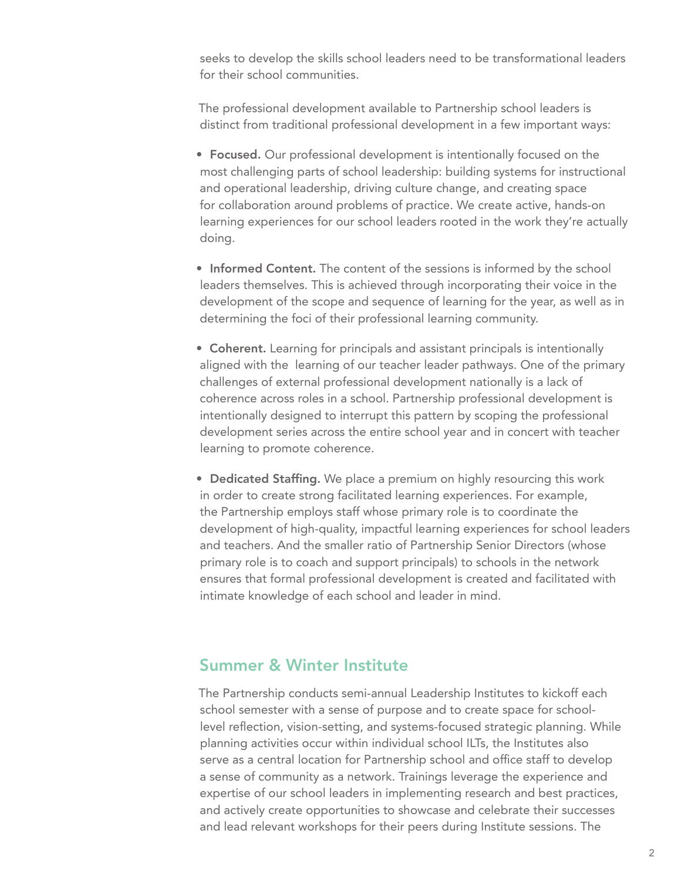seeks to develop the skills school leaders need to be transformational leaders for their school communities.

The professional development available to Partnership school leaders is distinct from traditional professional development in a few important ways:

- Focused. Our professional development is intentionally focused on the most challenging parts of school leadership: building systems for instructional and operational leadership, driving culture change, and creating space for collaboration around problems of practice. We create active, hands-on learning experiences for our school leaders rooted in the work they're actually doing.
- Informed Content. The content of the sessions is informed by the school leaders themselves. This is achieved through incorporating their voice in the development of the scope and sequence of learning for the year, as well as in determining the foci of their professional learning community.
- Coherent. Learning for principals and assistant principals is intentionally aligned with the learning of our teacher leader pathways. One of the primary challenges of external professional development nationally is a lack of coherence across roles in a school. Partnership professional development is intentionally designed to interrupt this pattern by scoping the professional development series across the entire school year and in concert with teacher learning to promote coherence.
- Dedicated Staffing. We place a premium on highly resourcing this work in order to create strong facilitated learning experiences. For example, the Partnership employs staff whose primary role is to coordinate the development of high-quality, impactful learning experiences for school leaders and teachers. And the smaller ratio of Partnership Senior Directors (whose primary role is to coach and support principals) to schools in the network ensures that formal professional development is created and facilitated with intimate knowledge of each school and leader in mind.

## Summer & Winter Institute

The Partnership conducts semi-annual Leadership Institutes to kickoff each school semester with a sense of purpose and to create space for schoollevel reflection, vision-setting, and systems-focused strategic planning. While planning activities occur within individual school ILTs, the Institutes also serve as a central location for Partnership school and office staff to develop a sense of community as a network. Trainings leverage the experience and expertise of our school leaders in implementing research and best practices, and actively create opportunities to showcase and celebrate their successes and lead relevant workshops for their peers during Institute sessions. The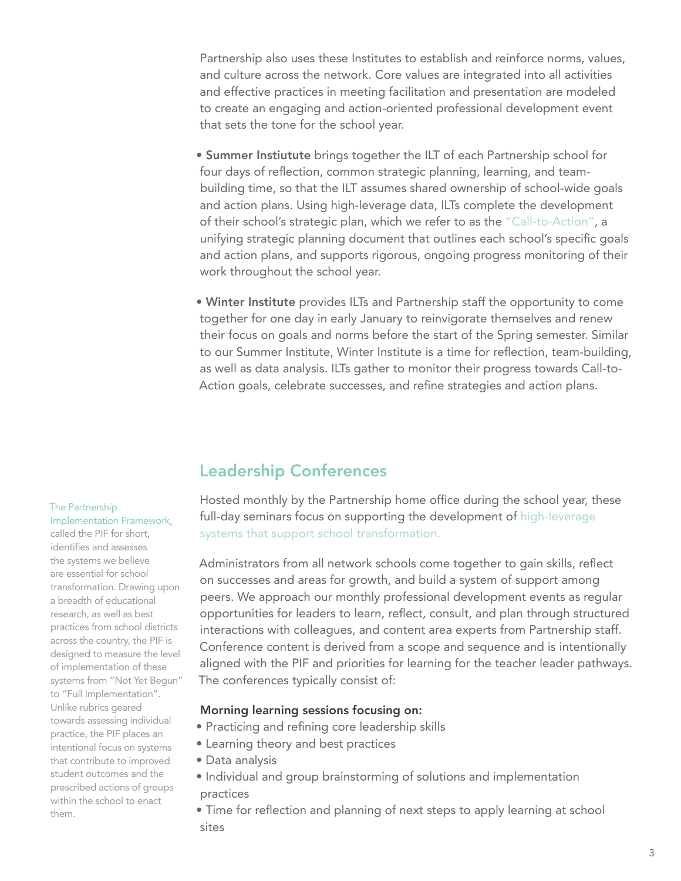Partnership also uses these Institutes to establish and reinforce norms, values, and culture across the network. Core values are integrated into all activities and effective practices in meeting facilitation and presentation are modeled to create an engaging and action-oriented professional development event that sets the tone for the school year.

- Summer Instiutute brings together the ILT of each Partnership school for four days of reflection, common strategic planning, learning, and teambuilding time, so that the ILT assumes shared ownership of school-wide goals and action plans. Using high-leverage data, ILTs complete the development of their school's strategic plan, which we refer to as the "Call-to-Action", a unifying strategic planning document that outlines each school's specific goals and action plans, and supports rigorous, ongoing progress monitoring of their work throughout the school year.
- Winter Institute provides ILTs and Partnership staff the opportunity to come together for one day in early January to reinvigorate themselves and renew their focus on goals and norms before the start of the Spring semester. Similar to our Summer Institute, Winter Institute is a time for reflection, team-building, as well as data analysis. ILTs gather to monitor their progress towards Call-to-Action goals, celebrate successes, and refine strategies and action plans.

## Leadership Conferences

Hosted monthly by the Partnership home office during the school year, these full-day seminars focus on supporting the development of high-leverage systems that support school transformation.

Administrators from all network schools come together to gain skills, reflect on successes and areas for growth, and build a system of support among peers. We approach our monthly professional development events as regular opportunities for leaders to learn, reflect, consult, and plan through structured interactions with colleagues, and content area experts from Partnership staff. Conference content is derived from a scope and sequence and is intentionally aligned with the PIF and priorities for learning for the teacher leader pathways. The conferences typically consist of:

### Morning learning sessions focusing on:

- Practicing and refining core leadership skills
- Learning theory and best practices
- Data analysis
- Individual and group brainstorming of solutions and implementation practices
- Time for reflection and planning of next steps to apply learning at school sites

## The Partnership

Implementation Framework, called the PIF for short, identifies and assesses the systems we believe are essential for school transformation. Drawing upon a breadth of educational research, as well as best practices from school districts across the country, the PIF is designed to measure the level of implementation of these systems from "Not Yet Begun" to "Full Implementation". Unlike rubrics geared towards assessing individual practice, the PIF places an intentional focus on systems that contribute to improved student outcomes and the prescribed actions of groups within the school to enact them.